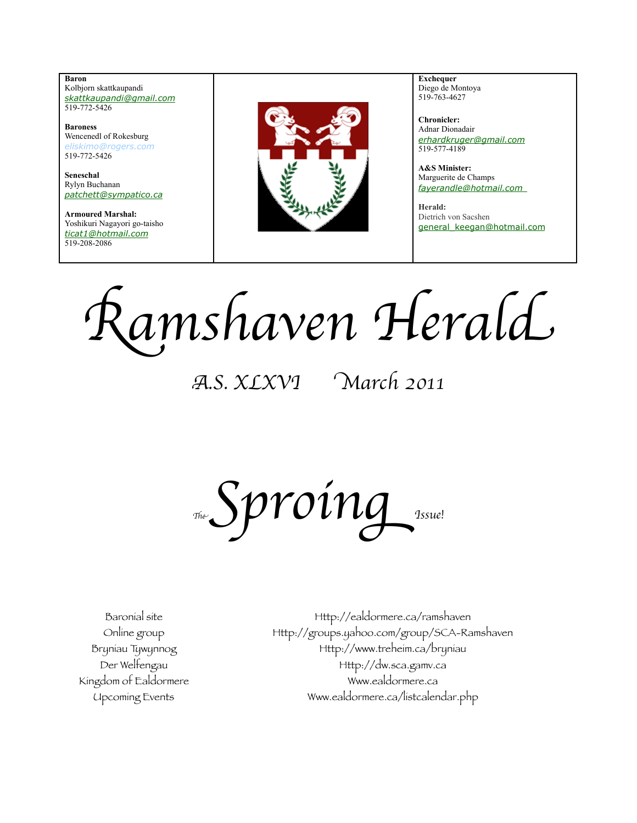**Baron**  Kolbjorn skattkaupandi *[skattkaupandi@gmail.com](mailto:skattkaupandi@gmail.com)* 519-772-5426

**Baroness** Wencenedl of Rokesburg *[eliskimo@rogers.com](mailto:eliskimo@rogers.com)* 519-772-5426

**Seneschal** Rylyn Buchanan *[patchett@sympatico.ca](mailto:patchett@sympatico.ca)*

**Armoured Marshal:** Yoshikuri Nagayori go-taisho *[ticat1@hotmail.com](mailto:ticat1@hotmail.com)* 519-208-2086



**Exchequer** Diego de Montoya 519-763-4627

**Chronicler:** Adnar Dionadair *erhardkruger@gmail.com* 519-577-4189

**A&S Minister:** Marguerite de Champs  *[fayerandle@hotmail.com](mailto:fayerandle@hotmail.com)* 

**Herald:** Dietrich von Sacshen [general\\_keegan@hotmail.com](mailto:general_keegan@hotmail.com)

Ramshaven Herald

A.S. XLXVI March 2011

 $Sprox$ 

Baronial site Http://ealdormere.ca/ramshaven Online group Http://groups.yahoo.com/group/SCA-Ramshaven Bryniau Tywynnog Http://www.treheim.ca/bryniau Der Welfengau Http://dw.sca.gamv.ca Kingdom of Ealdormere Www.ealdormere.ca Upcoming Events Www.ealdormere.ca/listcalendar.php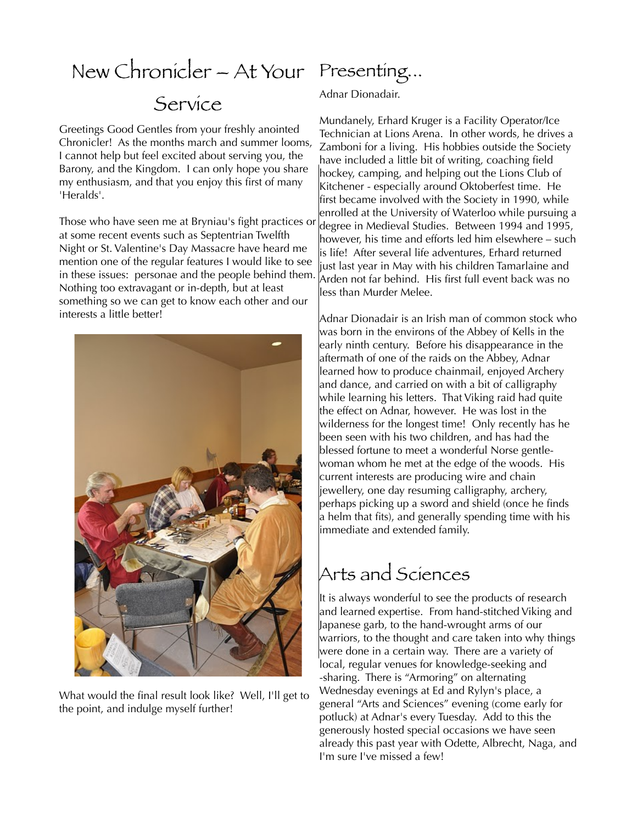### New Chronicler – At Your Presenting... Service

Greetings Good Gentles from your freshly anointed Chronicler! As the months march and summer looms, I cannot help but feel excited about serving you, the Barony, and the Kingdom. I can only hope you share my enthusiasm, and that you enjoy this first of many 'Heralds'.

Those who have seen me at Bryniau's fight practices or at some recent events such as Septentrian Twelfth Night or St. Valentine's Day Massacre have heard me mention one of the regular features I would like to see in these issues: personae and the people behind them. Nothing too extravagant or in-depth, but at least something so we can get to know each other and our interests a little better!



What would the final result look like? Well, I'll get to the point, and indulge myself further!

Adnar Dionadair.

Mundanely, Erhard Kruger is a Facility Operator/Ice Technician at Lions Arena. In other words, he drives a Zamboni for a living. His hobbies outside the Society have included a little bit of writing, coaching field hockey, camping, and helping out the Lions Club of Kitchener - especially around Oktoberfest time. He first became involved with the Society in 1990, while enrolled at the University of Waterloo while pursuing a degree in Medieval Studies. Between 1994 and 1995, however, his time and efforts led him elsewhere – such is life! After several life adventures, Erhard returned just last year in May with his children Tamarlaine and Arden not far behind. His first full event back was no less than Murder Melee.

Adnar Dionadair is an Irish man of common stock who was born in the environs of the Abbey of Kells in the early ninth century. Before his disappearance in the aftermath of one of the raids on the Abbey, Adnar learned how to produce chainmail, enjoyed Archery and dance, and carried on with a bit of calligraphy while learning his letters. That Viking raid had quite the effect on Adnar, however. He was lost in the wilderness for the longest time! Only recently has he been seen with his two children, and has had the blessed fortune to meet a wonderful Norse gentlewoman whom he met at the edge of the woods. His current interests are producing wire and chain jewellery, one day resuming calligraphy, archery, perhaps picking up a sword and shield (once he fnds a helm that fts), and generally spending time with his immediate and extended family.

#### Arts and Sciences

It is always wonderful to see the products of research and learned expertise. From hand-stitched Viking and Japanese garb, to the hand-wrought arms of our warriors, to the thought and care taken into why things were done in a certain way. There are a variety of local, regular venues for knowledge-seeking and -sharing. There is "Armoring" on alternating Wednesday evenings at Ed and Rylyn's place, a general "Arts and Sciences" evening (come early for potluck) at Adnar's every Tuesday. Add to this the generously hosted special occasions we have seen already this past year with Odette, Albrecht, Naga, and I'm sure I've missed a few!